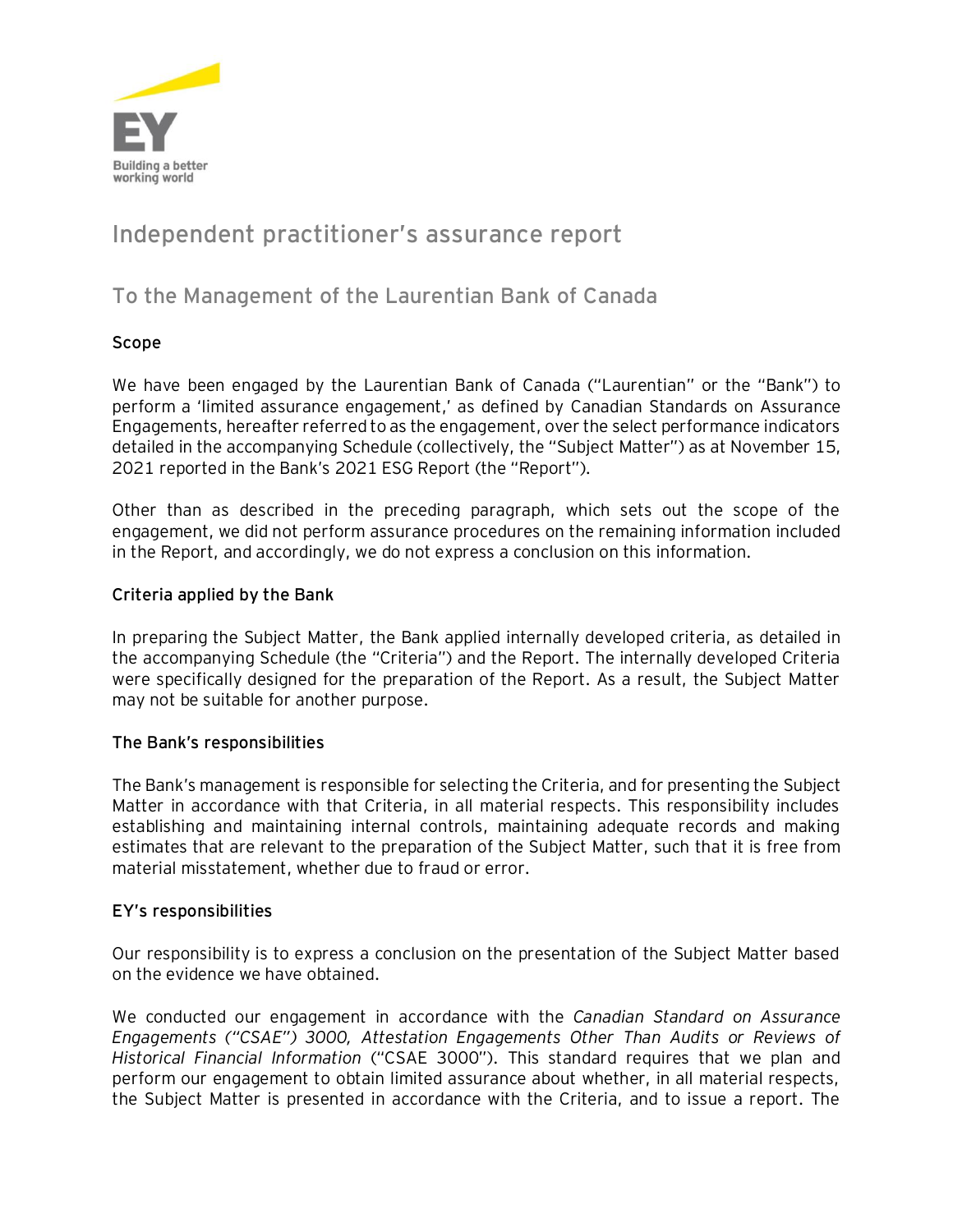

# **Independent practitioner's assurance report**

# **To the Management of the Laurentian Bank of Canada**

## **Scope**

We have been engaged by the Laurentian Bank of Canada ("Laurentian" or the "Bank") to perform a 'limited assurance engagement,' as defined by Canadian Standards on Assurance Engagements, hereafter referred to as the engagement, over the select performance indicators detailed in the accompanying Schedule (collectively, the "Subject Matter") as at November 15, 2021 reported in the Bank's 2021 ESG Report (the "Report").

Other than as described in the preceding paragraph, which sets out the scope of the engagement, we did not perform assurance procedures on the remaining information included in the Report, and accordingly, we do not express a conclusion on this information.

### **Criteria applied by the Bank**

In preparing the Subject Matter, the Bank applied internally developed criteria, as detailed in the accompanying Schedule (the "Criteria") and the Report. The internally developed Criteria were specifically designed for the preparation of the Report. As a result, the Subject Matter may not be suitable for another purpose.

#### **The Bank's responsibilities**

The Bank's management is responsible for selecting the Criteria, and for presenting the Subject Matter in accordance with that Criteria, in all material respects. This responsibility includes establishing and maintaining internal controls, maintaining adequate records and making estimates that are relevant to the preparation of the Subject Matter, such that it is free from material misstatement, whether due to fraud or error.

#### **EY's responsibilities**

Our responsibility is to express a conclusion on the presentation of the Subject Matter based on the evidence we have obtained.

We conducted our engagement in accordance with the *Canadian Standard on Assurance Engagements ("CSAE") 3000, Attestation Engagements Other Than Audits or Reviews of Historical Financial Information* ("CSAE 3000"). This standard requires that we plan and perform our engagement to obtain limited assurance about whether, in all material respects, the Subject Matter is presented in accordance with the Criteria, and to issue a report. The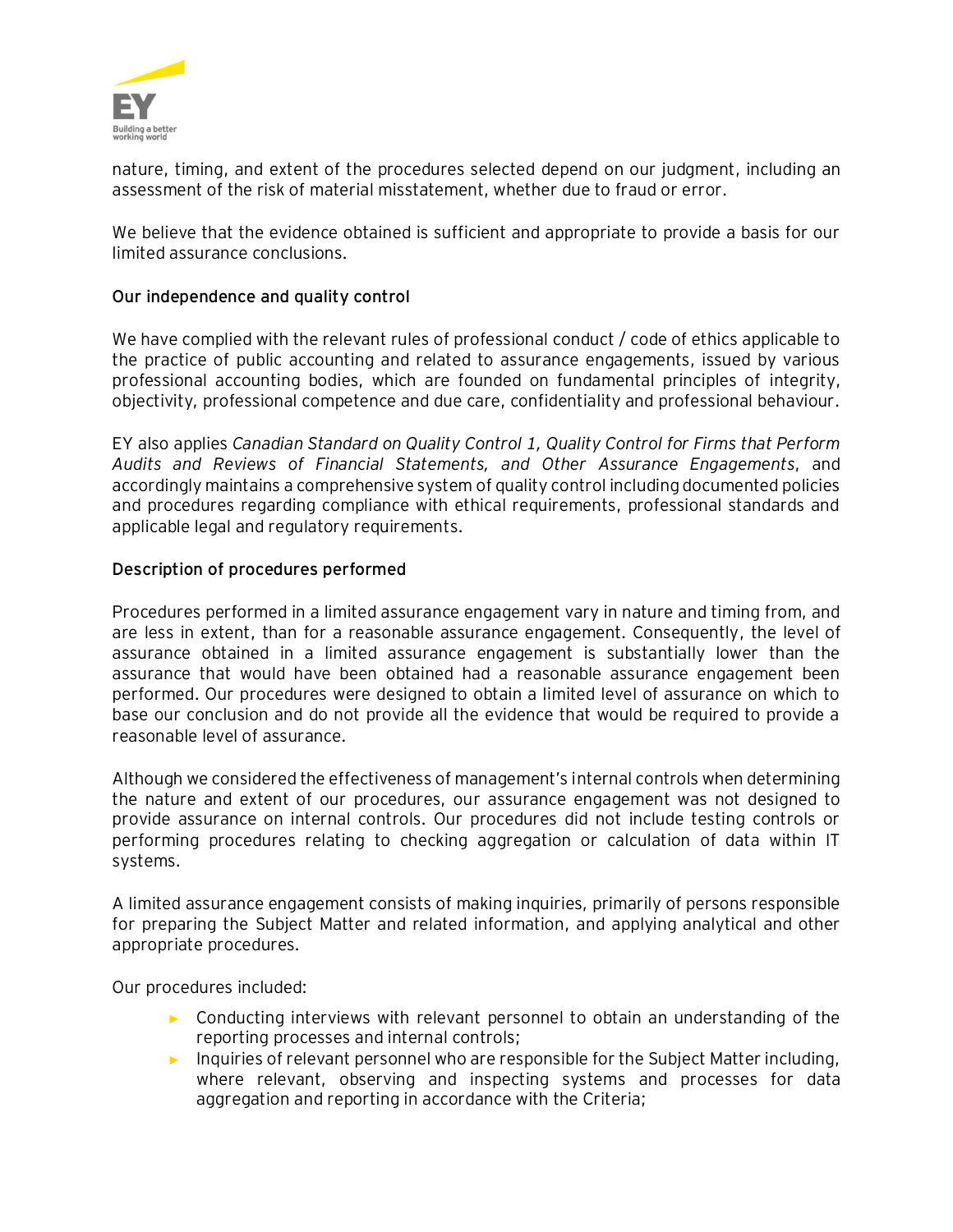

nature, timing, and extent of the procedures selected depend on our judgment, including an assessment of the risk of material misstatement, whether due to fraud or error.

We believe that the evidence obtained is sufficient and appropriate to provide a basis for our limited assurance conclusions.

#### **Our independence and quality control**

We have complied with the relevant rules of professional conduct / code of ethics applicable to the practice of public accounting and related to assurance engagements, issued by various professional accounting bodies, which are founded on fundamental principles of integrity, objectivity, professional competence and due care, confidentiality and professional behaviour.

EY also applies *Canadian Standard on Quality Control 1, Quality Control for Firms that Perform Audits and Reviews of Financial Statements, and Other Assurance Engagements*, and accordingly maintains a comprehensive system of quality control including documented policies and procedures regarding compliance with ethical requirements, professional standards and applicable legal and regulatory requirements.

#### **Description of procedures performed**

Procedures performed in a limited assurance engagement vary in nature and timing from, and are less in extent, than for a reasonable assurance engagement. Consequently, the level of assurance obtained in a limited assurance engagement is substantially lower than the assurance that would have been obtained had a reasonable assurance engagement been performed. Our procedures were designed to obtain a limited level of assurance on which to base our conclusion and do not provide all the evidence that would be required to provide a reasonable level of assurance.

Although we considered the effectiveness of management's internal controls when determining the nature and extent of our procedures, our assurance engagement was not designed to provide assurance on internal controls. Our procedures did not include testing controls or performing procedures relating to checking aggregation or calculation of data within IT systems.

A limited assurance engagement consists of making inquiries, primarily of persons responsible for preparing the Subject Matter and related information, and applying analytical and other appropriate procedures.

Our procedures included:

- ► Conducting interviews with relevant personnel to obtain an understanding of the reporting processes and internal controls;
- ► Inquiries of relevant personnel who are responsible for the Subject Matter including, where relevant, observing and inspecting systems and processes for data aggregation and reporting in accordance with the Criteria;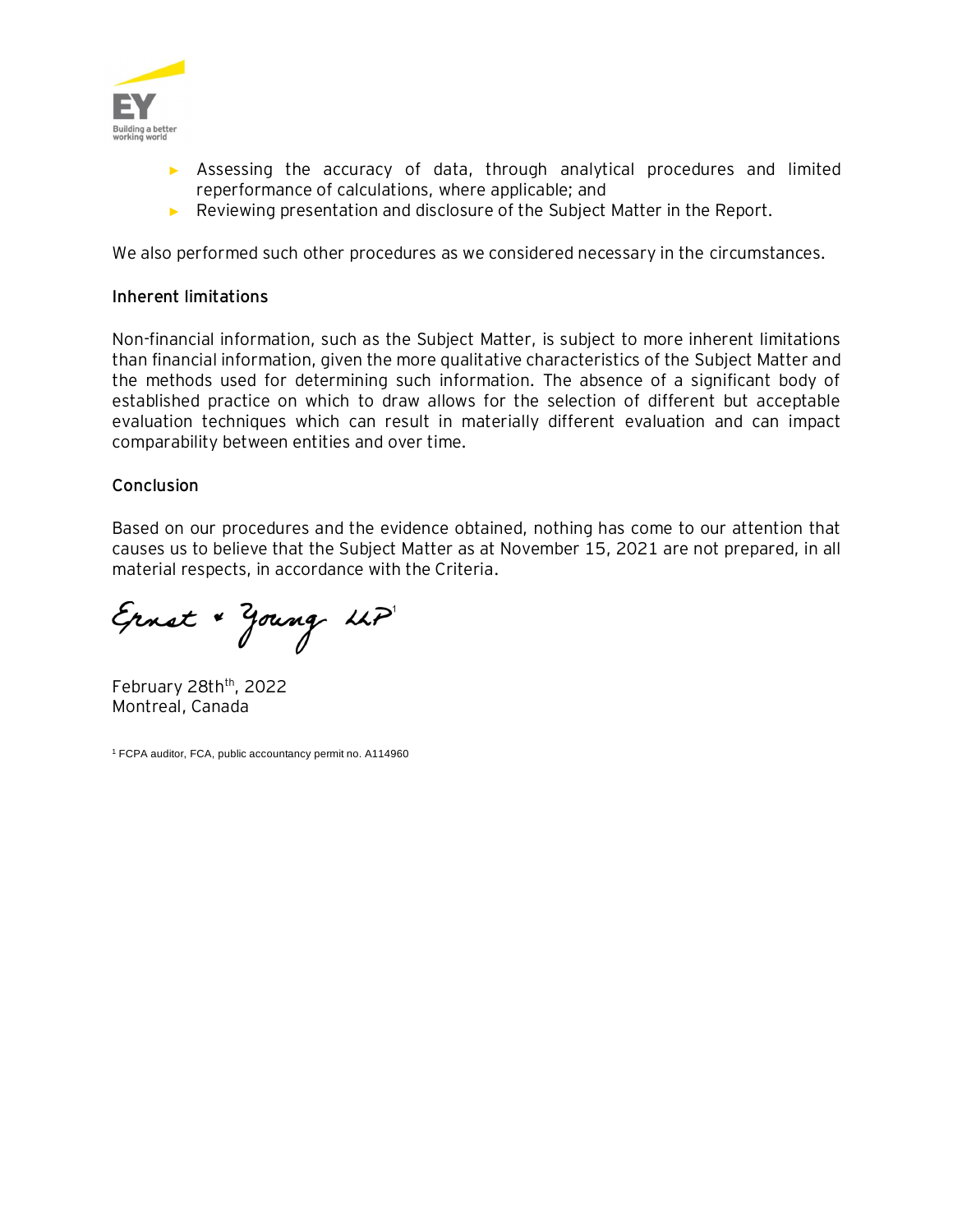

- ► Assessing the accuracy of data, through analytical procedures and limited reperformance of calculations, where applicable; and
- ► Reviewing presentation and disclosure of the Subject Matter in the Report.

We also performed such other procedures as we considered necessary in the circumstances.

#### **Inherent limitations**

Non-financial information, such as the Subject Matter, is subject to more inherent limitations than financial information, given the more qualitative characteristics of the Subject Matter and the methods used for determining such information. The absence of a significant body of established practice on which to draw allows for the selection of different but acceptable evaluation techniques which can result in materially different evaluation and can impact comparability between entities and over time.

#### **Conclusion**

Based on our procedures and the evidence obtained, nothing has come to our attention that causes us to believe that the Subject Matter as at November 15, 2021 are not prepared, in all material respects, in accordance with the Criteria.

Ernst "Young LLP"

February 28th<sup>th</sup>, 2022 Montreal, Canada

<sup>1</sup> FCPA auditor, FCA, public accountancy permit no. A114960